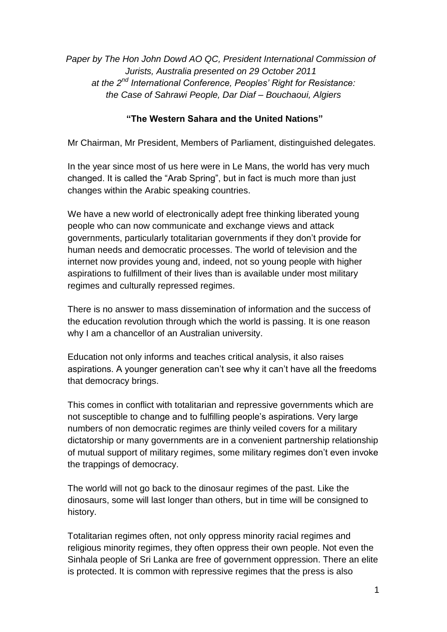*Paper by The Hon John Dowd AO QC, President International Commission of Jurists, Australia presented on 29 October 2011 at the 2nd International Conference, Peoples' Right for Resistance: the Case of Sahrawi People, Dar Diaf – Bouchaoui, Algiers*

### **"The Western Sahara and the United Nations"**

Mr Chairman, Mr President, Members of Parliament, distinguished delegates.

In the year since most of us here were in Le Mans, the world has very much changed. It is called the "Arab Spring", but in fact is much more than just changes within the Arabic speaking countries.

We have a new world of electronically adept free thinking liberated young people who can now communicate and exchange views and attack governments, particularly totalitarian governments if they don"t provide for human needs and democratic processes. The world of television and the internet now provides young and, indeed, not so young people with higher aspirations to fulfillment of their lives than is available under most military regimes and culturally repressed regimes.

There is no answer to mass dissemination of information and the success of the education revolution through which the world is passing. It is one reason why I am a chancellor of an Australian university.

Education not only informs and teaches critical analysis, it also raises aspirations. A younger generation can"t see why it can"t have all the freedoms that democracy brings.

This comes in conflict with totalitarian and repressive governments which are not susceptible to change and to fulfilling people"s aspirations. Very large numbers of non democratic regimes are thinly veiled covers for a military dictatorship or many governments are in a convenient partnership relationship of mutual support of military regimes, some military regimes don"t even invoke the trappings of democracy.

The world will not go back to the dinosaur regimes of the past. Like the dinosaurs, some will last longer than others, but in time will be consigned to history.

Totalitarian regimes often, not only oppress minority racial regimes and religious minority regimes, they often oppress their own people. Not even the Sinhala people of Sri Lanka are free of government oppression. There an elite is protected. It is common with repressive regimes that the press is also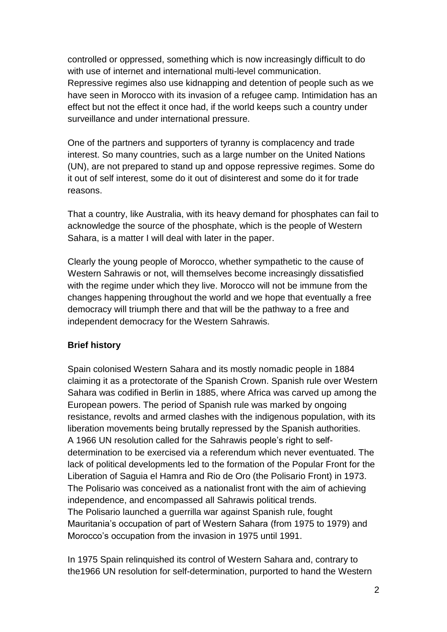controlled or oppressed, something which is now increasingly difficult to do with use of internet and international multi-level communication. Repressive regimes also use kidnapping and detention of people such as we have seen in Morocco with its invasion of a refugee camp. Intimidation has an effect but not the effect it once had, if the world keeps such a country under surveillance and under international pressure.

One of the partners and supporters of tyranny is complacency and trade interest. So many countries, such as a large number on the United Nations (UN), are not prepared to stand up and oppose repressive regimes. Some do it out of self interest, some do it out of disinterest and some do it for trade reasons.

That a country, like Australia, with its heavy demand for phosphates can fail to acknowledge the source of the phosphate, which is the people of Western Sahara, is a matter I will deal with later in the paper.

Clearly the young people of Morocco, whether sympathetic to the cause of Western Sahrawis or not, will themselves become increasingly dissatisfied with the regime under which they live. Morocco will not be immune from the changes happening throughout the world and we hope that eventually a free democracy will triumph there and that will be the pathway to a free and independent democracy for the Western Sahrawis.

# **Brief history**

Spain colonised Western Sahara and its mostly nomadic people in 1884 claiming it as a protectorate of the Spanish Crown. Spanish rule over Western Sahara was codified in Berlin in 1885, where Africa was carved up among the European powers. The period of Spanish rule was marked by ongoing resistance, revolts and armed clashes with the indigenous population, with its liberation movements being brutally repressed by the Spanish authorities. A 1966 UN resolution called for the Sahrawis people"s right to selfdetermination to be exercised via a referendum which never eventuated. The lack of political developments led to the formation of the Popular Front for the Liberation of Saguia el Hamra and Rio de Oro (the Polisario Front) in 1973. The Polisario was conceived as a nationalist front with the aim of achieving independence, and encompassed all Sahrawis political trends. The Polisario launched a guerrilla war against Spanish rule, fought Mauritania"s occupation of part of Western Sahara (from 1975 to 1979) and Morocco"s occupation from the invasion in 1975 until 1991.

In 1975 Spain relinquished its control of Western Sahara and, contrary to the1966 UN resolution for self-determination, purported to hand the Western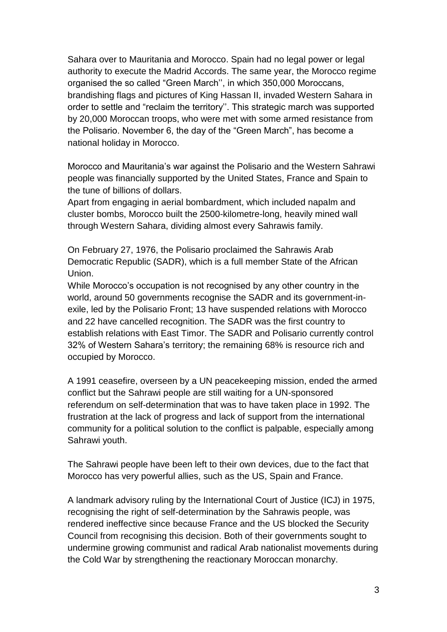Sahara over to Mauritania and Morocco. Spain had no legal power or legal authority to execute the Madrid Accords. The same year, the Morocco regime organised the so called "Green March"", in which 350,000 Moroccans, brandishing flags and pictures of King Hassan II, invaded Western Sahara in order to settle and "reclaim the territory". This strategic march was supported by 20,000 Moroccan troops, who were met with some armed resistance from the Polisario. November 6, the day of the "Green March", has become a national holiday in Morocco.

Morocco and Mauritania"s war against the Polisario and the Western Sahrawi people was financially supported by the United States, France and Spain to the tune of billions of dollars.

Apart from engaging in aerial bombardment, which included napalm and cluster bombs, Morocco built the 2500-kilometre-long, heavily mined wall through Western Sahara, dividing almost every Sahrawis family.

On February 27, 1976, the Polisario proclaimed the Sahrawis Arab Democratic Republic (SADR), which is a full member State of the African Union.

While Morocco's occupation is not recognised by any other country in the world, around 50 governments recognise the SADR and its government-inexile, led by the Polisario Front; 13 have suspended relations with Morocco and 22 have cancelled recognition. The SADR was the first country to establish relations with East Timor. The SADR and Polisario currently control 32% of Western Sahara"s territory; the remaining 68% is resource rich and occupied by Morocco.

A 1991 ceasefire, overseen by a UN peacekeeping mission, ended the armed conflict but the Sahrawi people are still waiting for a UN-sponsored referendum on self-determination that was to have taken place in 1992. The frustration at the lack of progress and lack of support from the international community for a political solution to the conflict is palpable, especially among Sahrawi youth.

The Sahrawi people have been left to their own devices, due to the fact that Morocco has very powerful allies, such as the US, Spain and France.

A landmark advisory ruling by the International Court of Justice (ICJ) in 1975, recognising the right of self-determination by the Sahrawis people, was rendered ineffective since because France and the US blocked the Security Council from recognising this decision. Both of their governments sought to undermine growing communist and radical Arab nationalist movements during the Cold War by strengthening the reactionary Moroccan monarchy.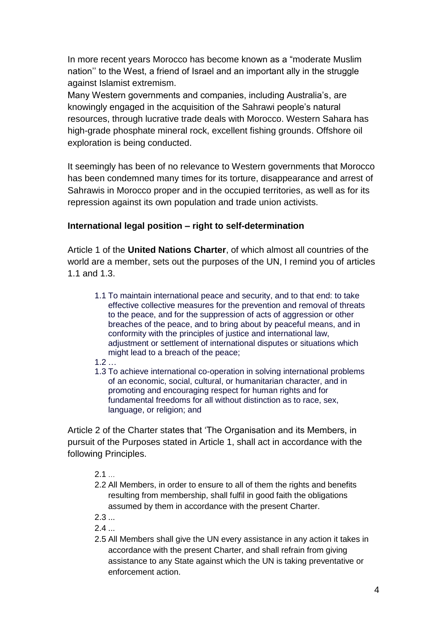In more recent years Morocco has become known as a "moderate Muslim nation"" to the West, a friend of Israel and an important ally in the struggle against Islamist extremism.

Many Western governments and companies, including Australia"s, are knowingly engaged in the acquisition of the Sahrawi people"s natural resources, through lucrative trade deals with Morocco. Western Sahara has high-grade phosphate mineral rock, excellent fishing grounds. Offshore oil exploration is being conducted.

It seemingly has been of no relevance to Western governments that Morocco has been condemned many times for its torture, disappearance and arrest of Sahrawis in Morocco proper and in the occupied territories, as well as for its repression against its own population and trade union activists.

# **International legal position – right to self-determination**

Article 1 of the **United Nations Charter**, of which almost all countries of the world are a member, sets out the purposes of the UN, I remind you of articles 1.1 and 1.3.

1.1 To maintain international peace and security, and to that end: to take effective collective measures for the prevention and removal of threats to the peace, and for the suppression of acts of aggression or other breaches of the peace, and to bring about by peaceful means, and in conformity with the principles of justice and international law, adjustment or settlement of international disputes or situations which might lead to a breach of the peace;

1.2 …

1.3 To achieve international co-operation in solving international problems of an economic, social, cultural, or humanitarian character, and in promoting and encouraging respect for human rights and for fundamental freedoms for all without distinction as to race, sex, language, or religion; and

Article 2 of the Charter states that "The Organisation and its Members, in pursuit of the Purposes stated in Article 1, shall act in accordance with the following Principles.

 $2.1...$ 

- 2.2 All Members, in order to ensure to all of them the rights and benefits resulting from membership, shall fulfil in good faith the obligations assumed by them in accordance with the present Charter.
- 2.3 ...

 $2.4...$ 

2.5 All Members shall give the UN every assistance in any action it takes in accordance with the present Charter, and shall refrain from giving assistance to any State against which the UN is taking preventative or enforcement action.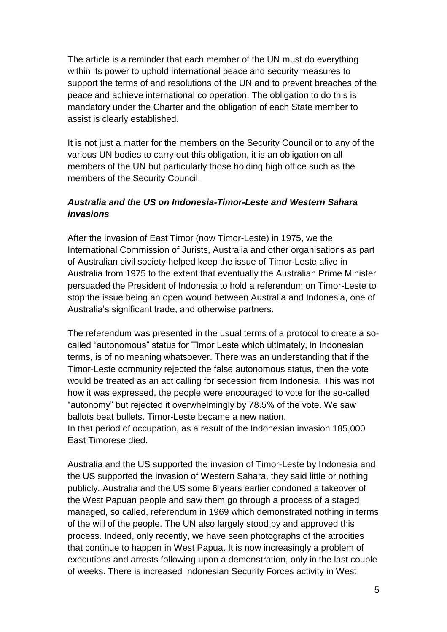The article is a reminder that each member of the UN must do everything within its power to uphold international peace and security measures to support the terms of and resolutions of the UN and to prevent breaches of the peace and achieve international co operation. The obligation to do this is mandatory under the Charter and the obligation of each State member to assist is clearly established.

It is not just a matter for the members on the Security Council or to any of the various UN bodies to carry out this obligation, it is an obligation on all members of the UN but particularly those holding high office such as the members of the Security Council.

# *Australia and the US on Indonesia-Timor-Leste and Western Sahara invasions*

After the invasion of East Timor (now Timor-Leste) in 1975, we the International Commission of Jurists, Australia and other organisations as part of Australian civil society helped keep the issue of Timor-Leste alive in Australia from 1975 to the extent that eventually the Australian Prime Minister persuaded the President of Indonesia to hold a referendum on Timor-Leste to stop the issue being an open wound between Australia and Indonesia, one of Australia"s significant trade, and otherwise partners.

The referendum was presented in the usual terms of a protocol to create a socalled "autonomous" status for Timor Leste which ultimately, in Indonesian terms, is of no meaning whatsoever. There was an understanding that if the Timor-Leste community rejected the false autonomous status, then the vote would be treated as an act calling for secession from Indonesia. This was not how it was expressed, the people were encouraged to vote for the so-called "autonomy" but rejected it overwhelmingly by 78.5% of the vote. We saw ballots beat bullets. Timor-Leste became a new nation. In that period of occupation, as a result of the Indonesian invasion 185,000 East Timorese died.

Australia and the US supported the invasion of Timor-Leste by Indonesia and the US supported the invasion of Western Sahara, they said little or nothing publicly. Australia and the US some 6 years earlier condoned a takeover of the West Papuan people and saw them go through a process of a staged managed, so called, referendum in 1969 which demonstrated nothing in terms of the will of the people. The UN also largely stood by and approved this process. Indeed, only recently, we have seen photographs of the atrocities that continue to happen in West Papua. It is now increasingly a problem of executions and arrests following upon a demonstration, only in the last couple of weeks. There is increased Indonesian Security Forces activity in West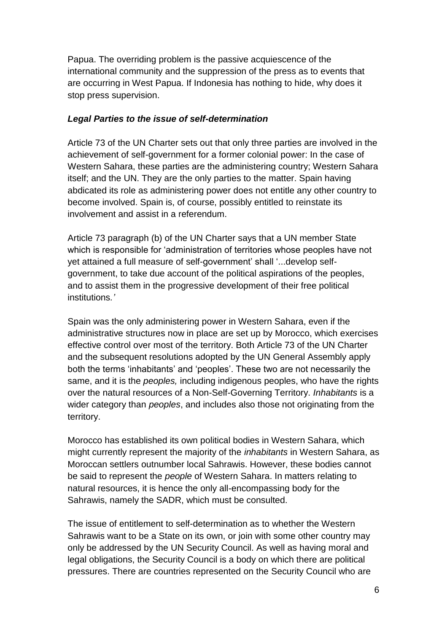Papua. The overriding problem is the passive acquiescence of the international community and the suppression of the press as to events that are occurring in West Papua. If Indonesia has nothing to hide, why does it stop press supervision.

#### *Legal Parties to the issue of self-determination*

Article 73 of the UN Charter sets out that only three parties are involved in the achievement of self-government for a former colonial power: In the case of Western Sahara, these parties are the administering country; Western Sahara itself; and the UN. They are the only parties to the matter. Spain having abdicated its role as administering power does not entitle any other country to become involved. Spain is, of course, possibly entitled to reinstate its involvement and assist in a referendum.

Article 73 paragraph (b) of the UN Charter says that a UN member State which is responsible for "administration of territories whose peoples have not yet attained a full measure of self-government' shall '...develop selfgovernment, to take due account of the political aspirations of the peoples, and to assist them in the progressive development of their free political institutions*.'*

Spain was the only administering power in Western Sahara, even if the administrative structures now in place are set up by Morocco, which exercises effective control over most of the territory. Both Article 73 of the UN Charter and the subsequent resolutions adopted by the UN General Assembly apply both the terms "inhabitants" and "peoples". These two are not necessarily the same, and it is the *peoples,* including indigenous peoples, who have the rights over the natural resources of a Non-Self-Governing Territory. *Inhabitants* is a wider category than *peoples*, and includes also those not originating from the territory.

Morocco has established its own political bodies in Western Sahara, which might currently represent the majority of the *inhabitants* in Western Sahara, as Moroccan settlers outnumber local Sahrawis. However, these bodies cannot be said to represent the *people* of Western Sahara. In matters relating to natural resources, it is hence the only all-encompassing body for the Sahrawis, namely the SADR, which must be consulted.

The issue of entitlement to self-determination as to whether the Western Sahrawis want to be a State on its own, or join with some other country may only be addressed by the UN Security Council. As well as having moral and legal obligations, the Security Council is a body on which there are political pressures. There are countries represented on the Security Council who are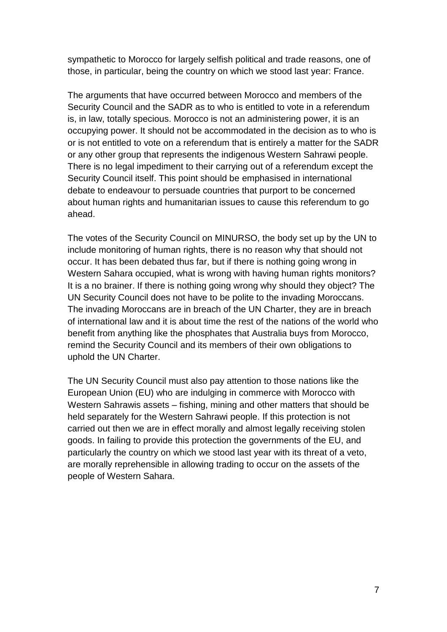sympathetic to Morocco for largely selfish political and trade reasons, one of those, in particular, being the country on which we stood last year: France.

The arguments that have occurred between Morocco and members of the Security Council and the SADR as to who is entitled to vote in a referendum is, in law, totally specious. Morocco is not an administering power, it is an occupying power. It should not be accommodated in the decision as to who is or is not entitled to vote on a referendum that is entirely a matter for the SADR or any other group that represents the indigenous Western Sahrawi people. There is no legal impediment to their carrying out of a referendum except the Security Council itself. This point should be emphasised in international debate to endeavour to persuade countries that purport to be concerned about human rights and humanitarian issues to cause this referendum to go ahead.

The votes of the Security Council on MINURSO, the body set up by the UN to include monitoring of human rights, there is no reason why that should not occur. It has been debated thus far, but if there is nothing going wrong in Western Sahara occupied, what is wrong with having human rights monitors? It is a no brainer. If there is nothing going wrong why should they object? The UN Security Council does not have to be polite to the invading Moroccans. The invading Moroccans are in breach of the UN Charter, they are in breach of international law and it is about time the rest of the nations of the world who benefit from anything like the phosphates that Australia buys from Morocco, remind the Security Council and its members of their own obligations to uphold the UN Charter.

The UN Security Council must also pay attention to those nations like the European Union (EU) who are indulging in commerce with Morocco with Western Sahrawis assets – fishing, mining and other matters that should be held separately for the Western Sahrawi people. If this protection is not carried out then we are in effect morally and almost legally receiving stolen goods. In failing to provide this protection the governments of the EU, and particularly the country on which we stood last year with its threat of a veto, are morally reprehensible in allowing trading to occur on the assets of the people of Western Sahara.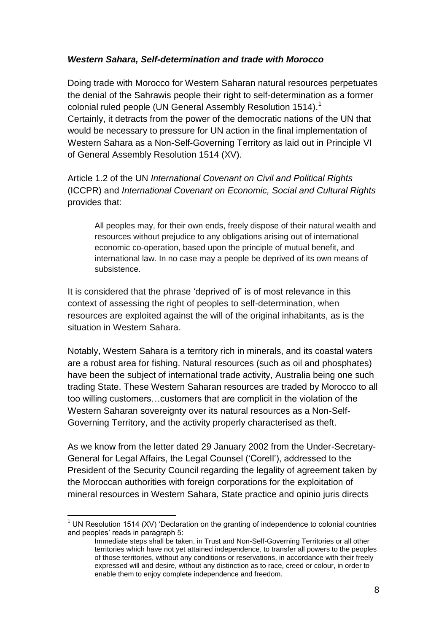### *Western Sahara, Self-determination and trade with Morocco*

Doing trade with Morocco for Western Saharan natural resources perpetuates the denial of the Sahrawis people their right to self-determination as a former colonial ruled people (UN General Assembly Resolution 1514).<sup>1</sup> Certainly, it detracts from the power of the democratic nations of the UN that would be necessary to pressure for UN action in the final implementation of Western Sahara as a Non-Self-Governing Territory as laid out in Principle VI of General Assembly Resolution 1514 (XV).

Article 1.2 of the UN *International Covenant on Civil and Political Rights* (ICCPR) and *International Covenant on Economic, Social and Cultural Rights* provides that:

All peoples may, for their own ends, freely dispose of their natural wealth and resources without prejudice to any obligations arising out of international economic co-operation, based upon the principle of mutual benefit, and international law. In no case may a people be deprived of its own means of subsistence.

It is considered that the phrase "deprived of" is of most relevance in this context of assessing the right of peoples to self-determination, when resources are exploited against the will of the original inhabitants, as is the situation in Western Sahara.

Notably, Western Sahara is a territory rich in minerals, and its coastal waters are a robust area for fishing. Natural resources (such as oil and phosphates) have been the subject of international trade activity, Australia being one such trading State. These Western Saharan resources are traded by Morocco to all too willing customers…customers that are complicit in the violation of the Western Saharan sovereignty over its natural resources as a Non-Self-Governing Territory, and the activity properly characterised as theft.

As we know from the letter dated 29 January 2002 from the Under-Secretary-General for Legal Affairs, the Legal Counsel ("Corell"), addressed to the President of the Security Council regarding the legality of agreement taken by the Moroccan authorities with foreign corporations for the exploitation of mineral resources in Western Sahara, State practice and opinio juris directs

 $\overline{a}$ <sup>1</sup> UN Resolution 1514 (XV) 'Declaration on the granting of independence to colonial countries and peoples' reads in paragraph 5:

Immediate steps shall be taken, in Trust and Non-Self-Governing Territories or all other territories which have not yet attained independence, to transfer all powers to the peoples of those territories, without any conditions or reservations, in accordance with their freely expressed will and desire, without any distinction as to race, creed or colour, in order to enable them to enjoy complete independence and freedom.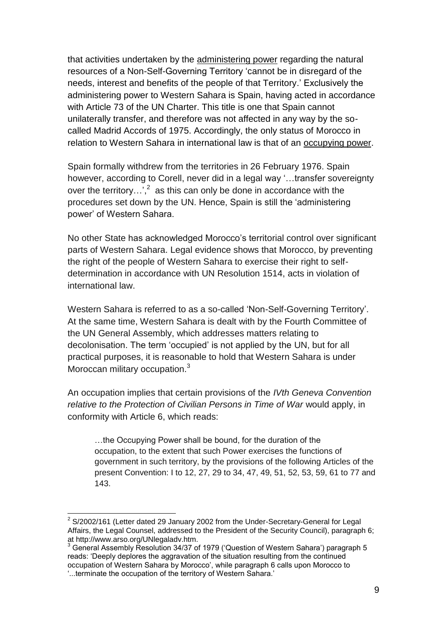that activities undertaken by the administering power regarding the natural resources of a Non-Self-Governing Territory "cannot be in disregard of the needs, interest and benefits of the people of that Territory." Exclusively the administering power to Western Sahara is Spain, having acted in accordance with Article 73 of the UN Charter. This title is one that Spain cannot unilaterally transfer, and therefore was not affected in any way by the socalled Madrid Accords of 1975. Accordingly, the only status of Morocco in relation to Western Sahara in international law is that of an occupying power.

Spain formally withdrew from the territories in 26 February 1976. Spain however, according to Corell, never did in a legal way '...transfer sovereignty over the territory...',<sup>2</sup> as this can only be done in accordance with the procedures set down by the UN. Hence, Spain is still the "administering power" of Western Sahara.

No other State has acknowledged Morocco"s territorial control over significant parts of Western Sahara. Legal evidence shows that Morocco, by preventing the right of the people of Western Sahara to exercise their right to selfdetermination in accordance with UN Resolution 1514, acts in violation of international law.

Western Sahara is referred to as a so-called "Non-Self-Governing Territory". At the same time, Western Sahara is dealt with by the Fourth Committee of the UN General Assembly, which addresses matters relating to decolonisation. The term "occupied" is not applied by the UN, but for all practical purposes, it is reasonable to hold that Western Sahara is under Moroccan military occupation.<sup>3</sup>

An occupation implies that certain provisions of the *IVth Geneva Convention relative to the Protection of Civilian Persons in Time of War* would apply, in conformity with Article 6, which reads:

…the Occupying Power shall be bound, for the duration of the occupation, to the extent that such Power exercises the functions of government in such territory, by the provisions of the following Articles of the present Convention: I to 12, 27, 29 to 34, 47, 49, 51, 52, 53, 59, 61 to 77 and 143.

l

 $2$  S/2002/161 (Letter dated 29 January 2002 from the Under-Secretary-General for Legal Affairs, the Legal Counsel, addressed to the President of the Security Council), paragraph 6; at http://www.arso.org/UNlegaladv.htm.

<sup>3</sup> General Assembly Resolution 34/37 of 1979 ("Question of Western Sahara") paragraph 5 reads: "Deeply deplores the aggravation of the situation resulting from the continued occupation of Western Sahara by Morocco", while paragraph 6 calls upon Morocco to "...terminate the occupation of the territory of Western Sahara."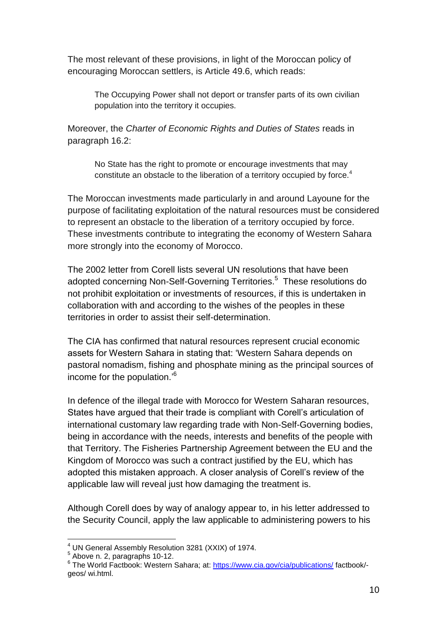The most relevant of these provisions, in light of the Moroccan policy of encouraging Moroccan settlers, is Article 49.6, which reads:

The Occupying Power shall not deport or transfer parts of its own civilian population into the territory it occupies.

Moreover, the *Charter of Economic Rights and Duties of States* reads in paragraph 16.2:

No State has the right to promote or encourage investments that may constitute an obstacle to the liberation of a territory occupied by force.<sup>4</sup>

The Moroccan investments made particularly in and around Layoune for the purpose of facilitating exploitation of the natural resources must be considered to represent an obstacle to the liberation of a territory occupied by force. These investments contribute to integrating the economy of Western Sahara more strongly into the economy of Morocco.

The 2002 letter from Corell lists several UN resolutions that have been adopted concerning Non-Self-Governing Territories.<sup>5</sup> These resolutions do not prohibit exploitation or investments of resources, if this is undertaken in collaboration with and according to the wishes of the peoples in these territories in order to assist their self-determination.

The CIA has confirmed that natural resources represent crucial economic assets for Western Sahara in stating that: "Western Sahara depends on pastoral nomadism, fishing and phosphate mining as the principal sources of income for the population.'<sup>6</sup>

In defence of the illegal trade with Morocco for Western Saharan resources, States have argued that their trade is compliant with Corell"s articulation of international customary law regarding trade with Non-Self-Governing bodies, being in accordance with the needs, interests and benefits of the people with that Territory. The Fisheries Partnership Agreement between the EU and the Kingdom of Morocco was such a contract justified by the EU, which has adopted this mistaken approach. A closer analysis of Corell"s review of the applicable law will reveal just how damaging the treatment is.

Although Corell does by way of analogy appear to, in his letter addressed to the Security Council, apply the law applicable to administering powers to his

 $\overline{a}$ 

<sup>4</sup> UN General Assembly Resolution 3281 (XXIX) of 1974.

<sup>5</sup> Above n. 2, paragraphs 10-12.

<sup>&</sup>lt;sup>6</sup> The World Factbook: Western Sahara; at:<https://www.cia.gov/cia/publications/> factbook/geos/ wi.html.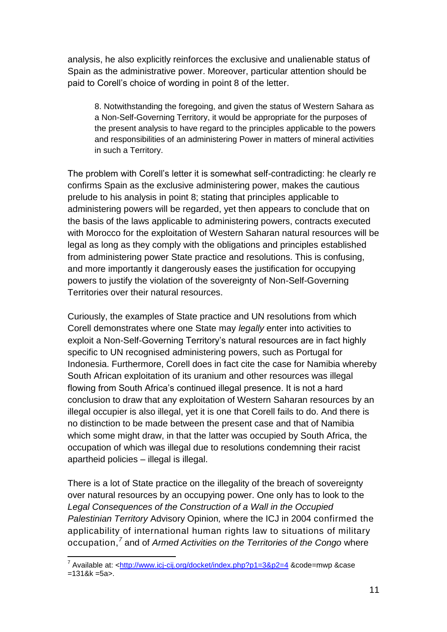analysis, he also explicitly reinforces the exclusive and unalienable status of Spain as the administrative power. Moreover, particular attention should be paid to Corell"s choice of wording in point 8 of the letter.

8. Notwithstanding the foregoing, and given the status of Western Sahara as a Non-Self-Governing Territory, it would be appropriate for the purposes of the present analysis to have regard to the principles applicable to the powers and responsibilities of an administering Power in matters of mineral activities in such a Territory.

The problem with Corell"s letter it is somewhat self-contradicting: he clearly re confirms Spain as the exclusive administering power, makes the cautious prelude to his analysis in point 8; stating that principles applicable to administering powers will be regarded, yet then appears to conclude that on the basis of the laws applicable to administering powers, contracts executed with Morocco for the exploitation of Western Saharan natural resources will be legal as long as they comply with the obligations and principles established from administering power State practice and resolutions. This is confusing, and more importantly it dangerously eases the justification for occupying powers to justify the violation of the sovereignty of Non-Self-Governing Territories over their natural resources.

Curiously, the examples of State practice and UN resolutions from which Corell demonstrates where one State may *legally* enter into activities to exploit a Non-Self-Governing Territory"s natural resources are in fact highly specific to UN recognised administering powers, such as Portugal for Indonesia. Furthermore, Corell does in fact cite the case for Namibia whereby South African exploitation of its uranium and other resources was illegal flowing from South Africa"s continued illegal presence. It is not a hard conclusion to draw that any exploitation of Western Saharan resources by an illegal occupier is also illegal, yet it is one that Corell fails to do. And there is no distinction to be made between the present case and that of Namibia which some might draw, in that the latter was occupied by South Africa, the occupation of which was illegal due to resolutions condemning their racist apartheid policies – illegal is illegal.

There is a lot of State practice on the illegality of the breach of sovereignty over natural resources by an occupying power. One only has to look to the *Legal Consequences of the Construction of a Wall in the Occupied Palestinian Territory* Advisory Opinion*,* where the ICJ in 2004 confirmed the applicability of international human rights law to situations of military occupation,*<sup>7</sup>* and of *Armed Activities on the Territories of the Congo* where

l

<sup>&</sup>lt;sup>7</sup> Available at: <<u>http://www.icj-cij.org/docket/index.php?p1=3&p2=4</u> &code=mwp &case  $=1318k = 5a$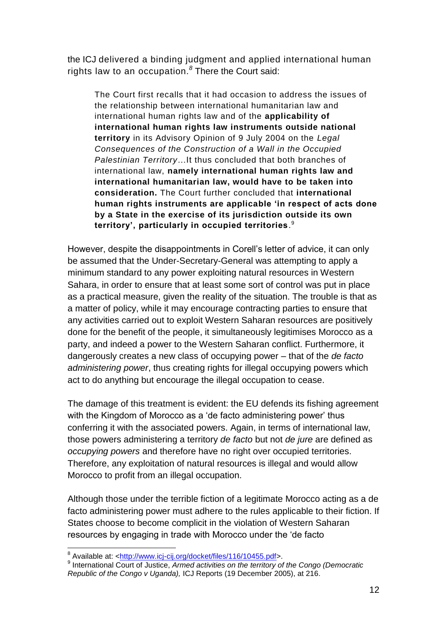the ICJ delivered a binding judgment and applied international human rights law to an occupation*. 8* There the Court said:

The Court first recalls that it had occasion to address the issues of the relationship between international humanitarian law and international human rights law and of the **applicability of international human rights law instruments outside national territory** in its Advisory Opinion of 9 July 2004 on the *Legal Consequences of the Construction of a Wall in the Occupied Palestinian Territory*…It thus concluded that both branches of international law, **namely international human rights law and international humanitarian law, would have to be taken into consideration.** The Court further concluded that **international human rights instruments are applicable "in respect of acts done by a State in the exercise of its jurisdiction outside its own territory", particularly in occupied territories**. 9

However, despite the disappointments in Corell"s letter of advice, it can only be assumed that the Under-Secretary-General was attempting to apply a minimum standard to any power exploiting natural resources in Western Sahara, in order to ensure that at least some sort of control was put in place as a practical measure, given the reality of the situation. The trouble is that as a matter of policy, while it may encourage contracting parties to ensure that any activities carried out to exploit Western Saharan resources are positively done for the benefit of the people, it simultaneously legitimises Morocco as a party, and indeed a power to the Western Saharan conflict. Furthermore, it dangerously creates a new class of occupying power – that of the *de facto administering power*, thus creating rights for illegal occupying powers which act to do anything but encourage the illegal occupation to cease.

The damage of this treatment is evident: the EU defends its fishing agreement with the Kingdom of Morocco as a 'de facto administering power' thus conferring it with the associated powers. Again, in terms of international law, those powers administering a territory *de facto* but not *de jure* are defined as *occupying powers* and therefore have no right over occupied territories. Therefore, any exploitation of natural resources is illegal and would allow Morocco to profit from an illegal occupation.

Although those under the terrible fiction of a legitimate Morocco acting as a de facto administering power must adhere to the rules applicable to their fiction. If States choose to become complicit in the violation of Western Saharan resources by engaging in trade with Morocco under the "de facto

 $\overline{\phantom{a}}$ <sup>8</sup> Available at: <<u>http://www.icj-cij.org/docket/files/116/10455.pdf</u>>.

<sup>9</sup> International Court of Justice, *Armed activities on the territory of the Congo (Democratic Republic of the Congo v Uganda),* ICJ Reports (19 December 2005), at 216.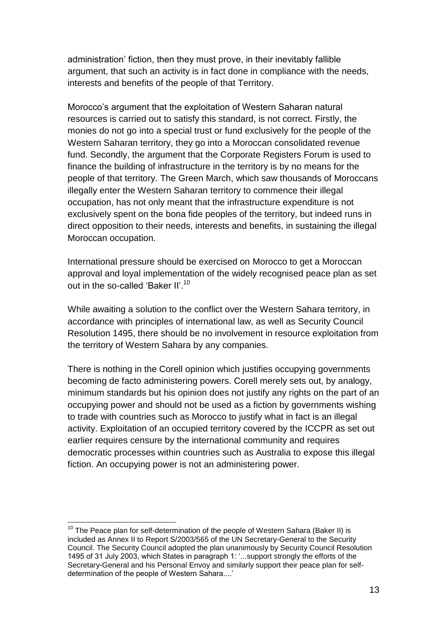administration' fiction, then they must prove, in their inevitably fallible argument, that such an activity is in fact done in compliance with the needs, interests and benefits of the people of that Territory.

Morocco"s argument that the exploitation of Western Saharan natural resources is carried out to satisfy this standard, is not correct. Firstly, the monies do not go into a special trust or fund exclusively for the people of the Western Saharan territory, they go into a Moroccan consolidated revenue fund. Secondly, the argument that the Corporate Registers Forum is used to finance the building of infrastructure in the territory is by no means for the people of that territory. The Green March, which saw thousands of Moroccans illegally enter the Western Saharan territory to commence their illegal occupation, has not only meant that the infrastructure expenditure is not exclusively spent on the bona fide peoples of the territory, but indeed runs in direct opposition to their needs, interests and benefits, in sustaining the illegal Moroccan occupation.

International pressure should be exercised on Morocco to get a Moroccan approval and loyal implementation of the widely recognised peace plan as set out in the so-called 'Baker II'.<sup>10</sup>

While awaiting a solution to the conflict over the Western Sahara territory, in accordance with principles of international law, as well as Security Council Resolution 1495, there should be no involvement in resource exploitation from the territory of Western Sahara by any companies.

There is nothing in the Corell opinion which justifies occupying governments becoming de facto administering powers. Corell merely sets out, by analogy, minimum standards but his opinion does not justify any rights on the part of an occupying power and should not be used as a fiction by governments wishing to trade with countries such as Morocco to justify what in fact is an illegal activity. Exploitation of an occupied territory covered by the ICCPR as set out earlier requires censure by the international community and requires democratic processes within countries such as Australia to expose this illegal fiction. An occupying power is not an administering power.

 $\overline{a}$  $10$  The Peace plan for self-determination of the people of Western Sahara (Baker II) is included as Annex II to Report S/2003/565 of the UN Secretary-General to the Security Council. The Security Council adopted the plan unanimously by Security Council Resolution 1495 of 31 July 2003, which States in paragraph 1: "...support strongly the efforts of the Secretary-General and his Personal Envoy and similarly support their peace plan for selfdetermination of the people of Western Sahara....'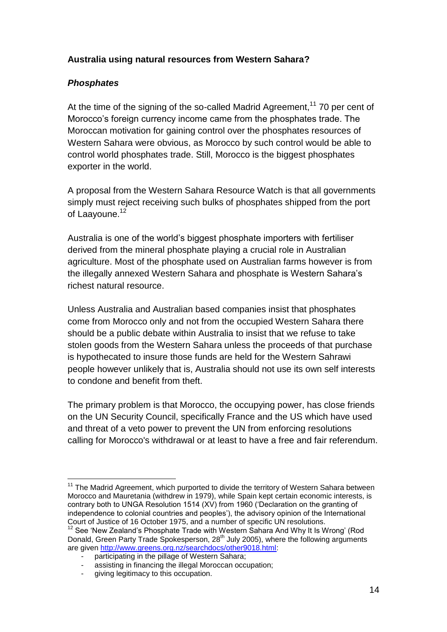# **Australia using natural resources from Western Sahara?**

# *Phosphates*

At the time of the signing of the so-called Madrid Agreement,<sup>11</sup> 70 per cent of Morocco"s foreign currency income came from the phosphates trade. The Moroccan motivation for gaining control over the phosphates resources of Western Sahara were obvious, as Morocco by such control would be able to control world phosphates trade. Still, Morocco is the biggest phosphates exporter in the world.

A proposal from the Western Sahara Resource Watch is that all governments simply must reject receiving such bulks of phosphates shipped from the port of Laayoune.<sup>12</sup>

Australia is one of the world"s biggest phosphate importers with fertiliser derived from the mineral phosphate playing a crucial role in Australian agriculture. Most of the phosphate used on Australian farms however is from the illegally annexed Western Sahara and phosphate is Western Sahara"s richest natural resource.

Unless Australia and Australian based companies insist that phosphates come from Morocco only and not from the occupied Western Sahara there should be a public debate within Australia to insist that we refuse to take stolen goods from the Western Sahara unless the proceeds of that purchase is hypothecated to insure those funds are held for the Western Sahrawi people however unlikely that is, Australia should not use its own self interests to condone and benefit from theft.

The primary problem is that Morocco, the occupying power, has close friends on the UN Security Council, specifically France and the US which have used and threat of a veto power to prevent the UN from enforcing resolutions calling for Morocco's withdrawal or at least to have a free and fair referendum.

 $\overline{a}$ <sup>11</sup> The Madrid Agreement, which purported to divide the territory of Western Sahara between Morocco and Mauretania (withdrew in 1979), while Spain kept certain economic interests, is contrary both to UNGA Resolution 1514 (XV) from 1960 ("Declaration on the granting of independence to colonial countries and peoples"), the advisory opinion of the International Court of Justice of 16 October 1975, and a number of specific UN resolutions.

 $12$  See 'New Zealand's Phosphate Trade with Western Sahara And Why It Is Wrong' (Rod Donald, Green Party Trade Spokesperson,  $28<sup>th</sup>$  July 2005), where the following arguments are given [http://www.greens.org.nz/searchdocs/other9018.html:](http://www.greens.org.nz/searchdocs/other9018.html)

<sup>-</sup> participating in the pillage of Western Sahara;

assisting in financing the illegal Moroccan occupation;

giving legitimacy to this occupation.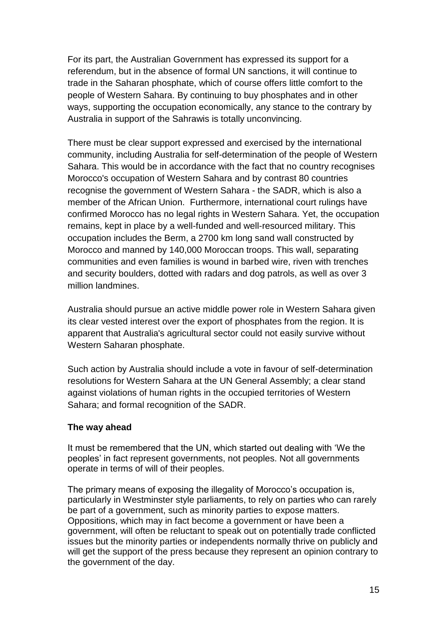For its part, the Australian Government has expressed its support for a referendum, but in the absence of formal UN sanctions, it will continue to trade in the Saharan phosphate, which of course offers little comfort to the people of Western Sahara. By continuing to buy phosphates and in other ways, supporting the occupation economically, any stance to the contrary by Australia in support of the Sahrawis is totally unconvincing.

There must be clear support expressed and exercised by the international community, including Australia for self-determination of the people of Western Sahara. This would be in accordance with the fact that no country recognises Morocco's occupation of Western Sahara and by contrast 80 countries recognise the government of Western Sahara - the SADR, which is also a member of the African Union. Furthermore, international court rulings have confirmed Morocco has no legal rights in Western Sahara. Yet, the occupation remains, kept in place by a well-funded and well-resourced military. This occupation includes the Berm, a 2700 km long sand wall constructed by Morocco and manned by 140,000 Moroccan troops. This wall, separating communities and even families is wound in barbed wire, riven with trenches and security boulders, dotted with radars and dog patrols, as well as over 3 million landmines.

Australia should pursue an active middle power role in Western Sahara given its clear vested interest over the export of phosphates from the region. It is apparent that Australia's agricultural sector could not easily survive without Western Saharan phosphate.

Such action by Australia should include a vote in favour of self-determination resolutions for Western Sahara at the UN General Assembly; a clear stand against violations of human rights in the occupied territories of Western Sahara; and formal recognition of the SADR.

#### **The way ahead**

It must be remembered that the UN, which started out dealing with "We the peoples" in fact represent governments, not peoples. Not all governments operate in terms of will of their peoples.

The primary means of exposing the illegality of Morocco's occupation is, particularly in Westminster style parliaments, to rely on parties who can rarely be part of a government, such as minority parties to expose matters. Oppositions, which may in fact become a government or have been a government, will often be reluctant to speak out on potentially trade conflicted issues but the minority parties or independents normally thrive on publicly and will get the support of the press because they represent an opinion contrary to the government of the day.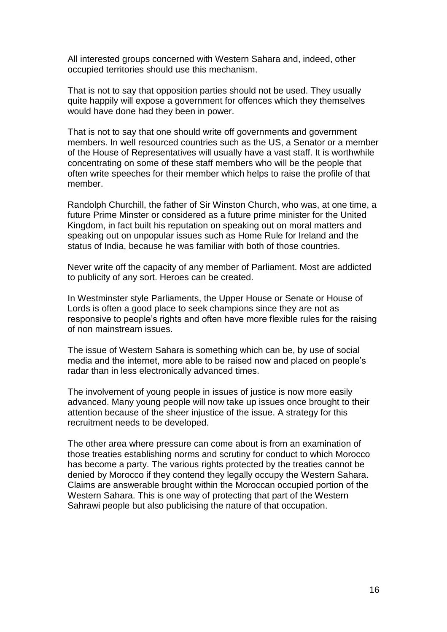All interested groups concerned with Western Sahara and, indeed, other occupied territories should use this mechanism.

That is not to say that opposition parties should not be used. They usually quite happily will expose a government for offences which they themselves would have done had they been in power.

That is not to say that one should write off governments and government members. In well resourced countries such as the US, a Senator or a member of the House of Representatives will usually have a vast staff. It is worthwhile concentrating on some of these staff members who will be the people that often write speeches for their member which helps to raise the profile of that member.

Randolph Churchill, the father of Sir Winston Church, who was, at one time, a future Prime Minster or considered as a future prime minister for the United Kingdom, in fact built his reputation on speaking out on moral matters and speaking out on unpopular issues such as Home Rule for Ireland and the status of India, because he was familiar with both of those countries.

Never write off the capacity of any member of Parliament. Most are addicted to publicity of any sort. Heroes can be created.

In Westminster style Parliaments, the Upper House or Senate or House of Lords is often a good place to seek champions since they are not as responsive to people's rights and often have more flexible rules for the raising of non mainstream issues.

The issue of Western Sahara is something which can be, by use of social media and the internet, more able to be raised now and placed on people"s radar than in less electronically advanced times.

The involvement of young people in issues of justice is now more easily advanced. Many young people will now take up issues once brought to their attention because of the sheer injustice of the issue. A strategy for this recruitment needs to be developed.

The other area where pressure can come about is from an examination of those treaties establishing norms and scrutiny for conduct to which Morocco has become a party. The various rights protected by the treaties cannot be denied by Morocco if they contend they legally occupy the Western Sahara. Claims are answerable brought within the Moroccan occupied portion of the Western Sahara. This is one way of protecting that part of the Western Sahrawi people but also publicising the nature of that occupation.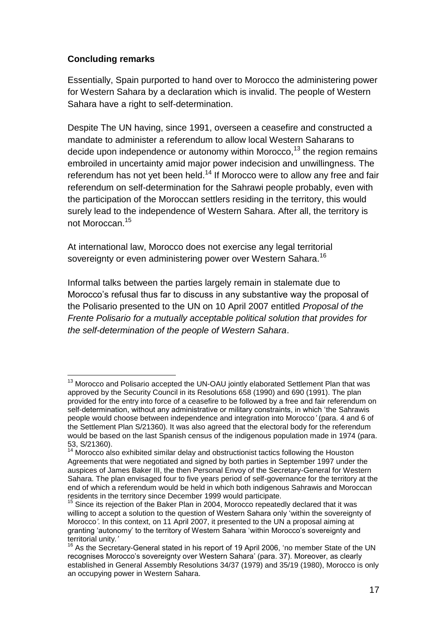# **Concluding remarks**

Essentially, Spain purported to hand over to Morocco the administering power for Western Sahara by a declaration which is invalid. The people of Western Sahara have a right to self-determination.

Despite The UN having, since 1991, overseen a ceasefire and constructed a mandate to administer a referendum to allow local Western Saharans to decide upon independence or autonomy within Morocco,<sup>13</sup> the region remains embroiled in uncertainty amid major power indecision and unwillingness. The referendum has not yet been held.<sup>14</sup> If Morocco were to allow any free and fair referendum on self-determination for the Sahrawi people probably, even with the participation of the Moroccan settlers residing in the territory, this would surely lead to the independence of Western Sahara. After all, the territory is not Moroccan.<sup>15</sup>

At international law, Morocco does not exercise any legal territorial sovereignty or even administering power over Western Sahara. $^{16}$ 

Informal talks between the parties largely remain in stalemate due to Morocco"s refusal thus far to discuss in any substantive way the proposal of the Polisario presented to the UN on 10 April 2007 entitled *Proposal of the Frente Polisario for a mutually acceptable political solution that provides for the self-determination of the people of Western Sahara*.

 $\overline{a}$  $13$  Morocco and Polisario accepted the UN-OAU jointly elaborated Settlement Plan that was approved by the Security Council in its Resolutions 658 (1990) and 690 (1991). The plan provided for the entry into force of a ceasefire to be followed by a free and fair referendum on self-determination, without any administrative or military constraints, in which "the Sahrawis people would choose between independence and integration into Morocco*'* (para. 4 and 6 of the Settlement Plan S/21360). It was also agreed that the electoral body for the referendum would be based on the last Spanish census of the indigenous population made in 1974 (para. 53, S/21360).

 $14$  Morocco also exhibited similar delay and obstructionist tactics following the Houston Agreements that were negotiated and signed by both parties in September 1997 under the auspices of James Baker III, the then Personal Envoy of the Secretary-General for Western Sahara. The plan envisaged four to five years period of self-governance for the territory at the end of which a referendum would be held in which both indigenous Sahrawis and Moroccan residents in the territory since December 1999 would participate.

 $15$  Since its rejection of the Baker Plan in 2004, Morocco repeatedly declared that it was willing to accept a solution to the question of Western Sahara only 'within the sovereignty of Morocco*'*. In this context, on 11 April 2007, it presented to the UN a proposal aiming at granting "autonomy" to the territory of Western Sahara "within Morocco"s sovereignty and territorial unity*.'*

<sup>&</sup>lt;sup>16</sup> As the Secretary-General stated in his report of 19 April 2006, 'no member State of the UN recognises Morocco's sovereignty over Western Sahara' (para. 37). Moreover, as clearly established in General Assembly Resolutions 34/37 (1979) and 35/19 (1980), Morocco is only an occupying power in Western Sahara.